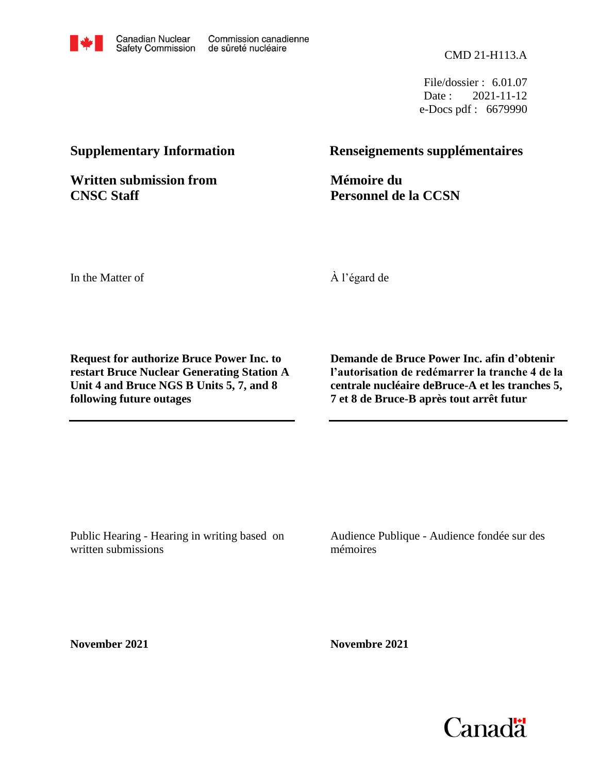File/dossier : 6.01.07 Date: 2021-11-12 e-Docs pdf : 6679990

**Written submission from CNSC Staff**

## **Supplementary Information Renseignements supplémentaires**

**Mémoire du Personnel de la CCSN**

In the Matter of

À l'égard de

**Request for authorize Bruce Power Inc. to restart Bruce Nuclear Generating Station A Unit 4 and Bruce NGS B Units 5, 7, and 8 following future outages**

**Demande de Bruce Power Inc. afin d'obtenir l'autorisation de redémarrer la tranche 4 de la centrale nucléaire deBruce-A et les tranches 5, 7 et 8 de Bruce-B après tout arrêt futur**

Public Hearing - Hearing in writing based on written submissions

Audience Publique - Audience fondée sur des mémoires

**November 2021**

**Novembre 2021**

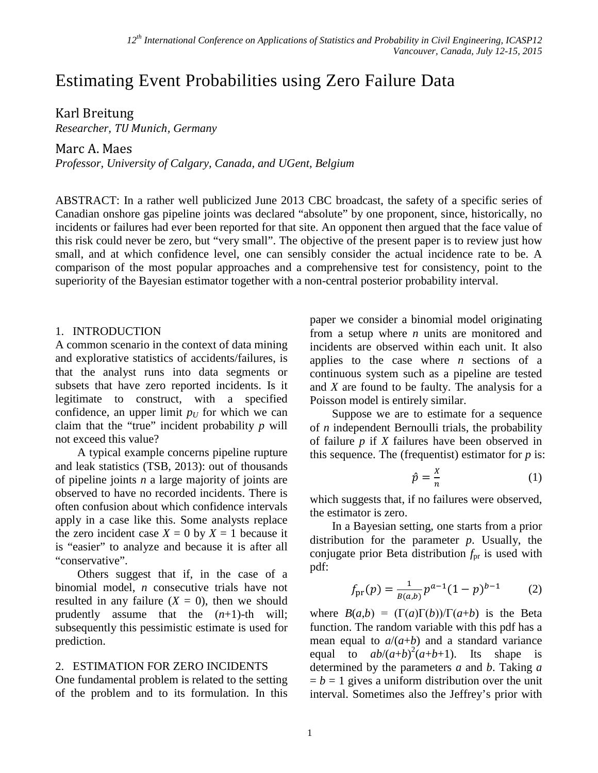# Estimating Event Probabilities using Zero Failure Data

### Karl Breitung

*Researcher, TU Munich, Germany*

### Marc A. Maes

*Professor, University of Calgary, Canada, and UGent, Belgium*

ABSTRACT: In a rather well publicized June 2013 CBC broadcast, the safety of a specific series of Canadian onshore gas pipeline joints was declared "absolute" by one proponent, since, historically, no incidents or failures had ever been reported for that site. An opponent then argued that the face value of this risk could never be zero, but "very small". The objective of the present paper is to review just how small, and at which confidence level, one can sensibly consider the actual incidence rate to be. A comparison of the most popular approaches and a comprehensive test for consistency, point to the superiority of the Bayesian estimator together with a non-central posterior probability interval.

### 1. INTRODUCTION

A common scenario in the context of data mining and explorative statistics of accidents/failures, is that the analyst runs into data segments or subsets that have zero reported incidents. Is it legitimate to construct, with a specified confidence, an upper limit  $p_U$  for which we can claim that the "true" incident probability *p* will not exceed this value?

A typical example concerns pipeline rupture and leak statistics (TSB, 2013): out of thousands of pipeline joints *n* a large majority of joints are observed to have no recorded incidents. There is often confusion about which confidence intervals apply in a case like this. Some analysts replace the zero incident case  $X = 0$  by  $X = 1$  because it is "easier" to analyze and because it is after all "conservative".

Others suggest that if, in the case of a binomial model, *n* consecutive trials have not resulted in any failure  $(X = 0)$ , then we should prudently assume that the (*n*+1)-th will; subsequently this pessimistic estimate is used for prediction.

### 2. ESTIMATION FOR ZERO INCIDENTS

One fundamental problem is related to the setting of the problem and to its formulation. In this paper we consider a binomial model originating from a setup where *n* units are monitored and incidents are observed within each unit. It also applies to the case where *n* sections of a continuous system such as a pipeline are tested and *X* are found to be faulty. The analysis for a Poisson model is entirely similar.

Suppose we are to estimate for a sequence of *n* independent Bernoulli trials, the probability of failure *p* if *X* failures have been observed in this sequence. The (frequentist) estimator for *p* is:

<span id="page-1-0"></span>
$$
\hat{p} = \frac{x}{n} \tag{1}
$$

which suggests that, if no failures were observed, the estimator is zero.

In a Bayesian setting, one starts from a prior distribution for the parameter *p*. Usually, the conjugate prior Beta distribution  $f_{pr}$  is used with pdf:

$$
f_{\text{pr}}(p) = \frac{1}{B(a,b)} p^{a-1} (1-p)^{b-1} \tag{2}
$$

where  $B(a,b) = (\Gamma(a)\Gamma(b))/\Gamma(a+b)$  is the Beta function. The random variable with this pdf has a mean equal to  $a/(a+b)$  and a standard variance equal to  $ab/(a+b)^2(a+b+1)$ . Its shape is determined by the parameters *a* and *b*. Taking *a*   $= b = 1$  gives a uniform distribution over the unit interval. Sometimes also the Jeffrey's prior with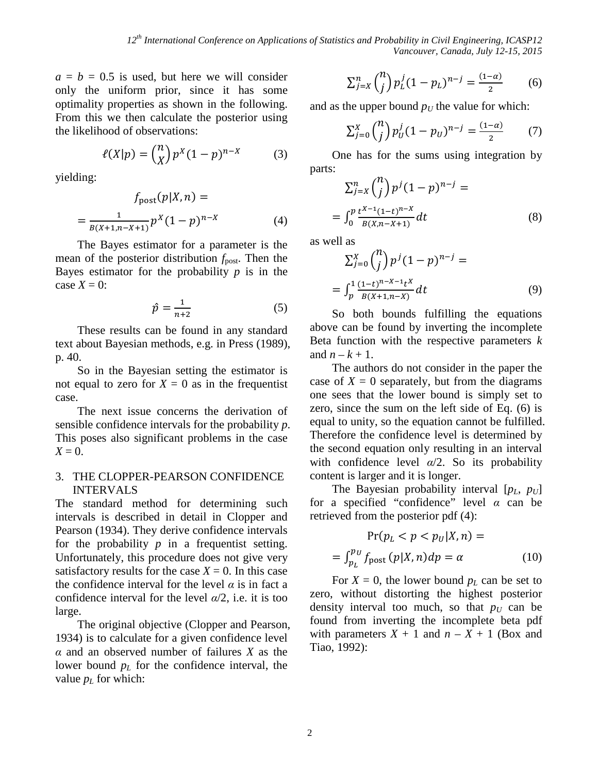$a = b = 0.5$  is used, but here we will consider only the uniform prior, since it has some optimality properties as shown in the following. From this we then calculate the posterior using the likelihood of observations:

$$
\ell(X|p) = {n \choose X} p^X (1-p)^{n-X} \tag{3}
$$

yielding:

$$
f_{\text{post}}(p|X,n) =
$$
  
= 
$$
\frac{1}{B(X+1,n-X+1)} p^{X} (1-p)^{n-X}
$$
 (4)

The Bayes estimator for a parameter is the mean of the posterior distribution  $f_{\text{post}}$ . Then the Bayes estimator for the probability  $p$  is in the case  $X = 0$ :

$$
\hat{p} = \frac{1}{n+2} \tag{5}
$$

These results can be found in any standard text about Bayesian methods, e.g. in Press (1989), p. 40.

So in the Bayesian setting the estimator is not equal to zero for  $X = 0$  as in the frequentist case.

The next issue concerns the derivation of sensible confidence intervals for the probability *p*. This poses also significant problems in the case  $X = 0$ .

### 3. THE CLOPPER-PEARSON CONFIDENCE INTERVALS

The standard method for determining such intervals is described in detail in Clopper and Pearson (1934). They derive confidence intervals for the probability  $p$  in a frequentist setting. Unfortunately, this procedure does not give very satisfactory results for the case  $X = 0$ . In this case the confidence interval for the level  $\alpha$  is in fact a confidence interval for the level *α*/2, i.e. it is too large.

The original objective (Clopper and Pearson, 1934) is to calculate for a given confidence level *α* and an observed number of failures *X* as the lower bound  $p<sub>L</sub>$  for the confidence interval, the value  $p<sub>L</sub>$  for which:

$$
\sum_{j=X}^{n} \binom{n}{j} p_L^j (1-p_L)^{n-j} = \frac{(1-\alpha)}{2} \tag{6}
$$

and as the upper bound  $p_U$  the value for which:

$$
\sum_{j=0}^{X} {n \choose j} p_U^j (1 - p_U)^{n-j} = \frac{(1 - \alpha)}{2} \qquad (7)
$$

One has for the sums using integration by parts:

$$
\sum_{j=X}^{n} {n \choose j} p^{j} (1-p)^{n-j} =
$$
  
= 
$$
\int_{0}^{p} \frac{t^{X-1} (1-t)^{n-X}}{B(X,n-X+1)} dt
$$
 (8)

as well as

$$
\sum_{j=0}^{X} {n \choose j} p^{j} (1-p)^{n-j} =
$$
  
= 
$$
\int_{p}^{1} \frac{(1-t)^{n-X-1} t^{X}}{B(X+1,n-X)} dt
$$
 (9)

<span id="page-2-0"></span>So both bounds fulfilling the equations above can be found by inverting the incomplete Beta function with the respective parameters *k* and  $n - k + 1$ .

The authors do not consider in the paper the case of  $X = 0$  separately, but from the diagrams one sees that the lower bound is simply set to zero, since the sum on the left side of Eq. (6) is equal to unity, so the equation cannot be fulfilled. Therefore the confidence level is determined by the second equation only resulting in an interval with confidence level  $\alpha/2$ . So its probability content is larger and it is longer.

The Bayesian probability interval  $[p_L, p_U]$ for a specified "confidence" level *α* can be retrieved from the posterior pdf (4):

$$
Pr(p_L < p < p_U | X, n) =
$$
\n
$$
= \int_{p_L}^{p_U} f_{\text{post}}(p|X, n) dp = \alpha \tag{10}
$$

For  $X = 0$ , the lower bound  $p<sub>L</sub>$  can be set to zero, without distorting the highest posterior density interval too much, so that  $p_U$  can be found from inverting the incomplete beta pdf with parameters  $X + 1$  and  $n - X + 1$  (Box and Tiao, 1992):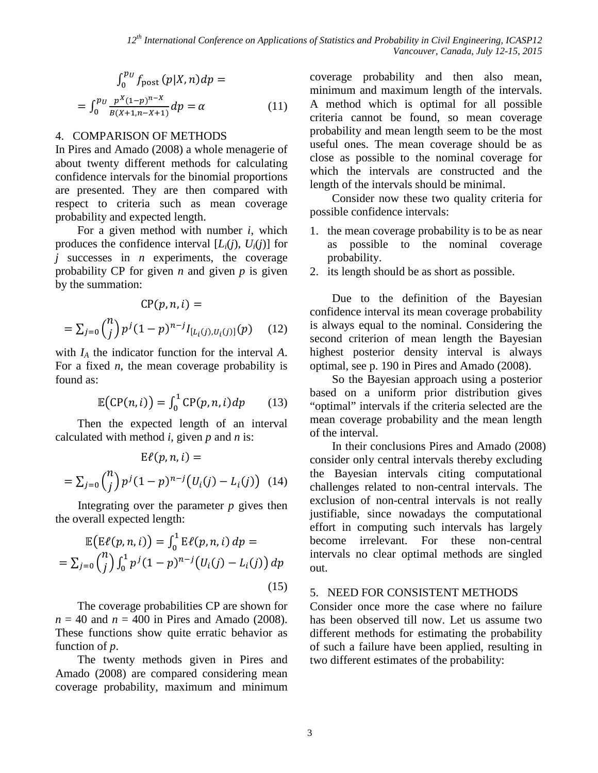$$
\int_0^{p_U} f_{\text{post}}(p|X, n) dp =
$$
  
= 
$$
\int_0^{p_U} \frac{p^X (1-p)^{n-X}}{B(X+1, n-X+1)} dp = \alpha
$$
 (11)

### 4. COMPARISON OF METHODS

In Pires and Amado (2008) a whole menagerie of about twenty different methods for calculating confidence intervals for the binomial proportions are presented. They are then compared with respect to criteria such as mean coverage probability and expected length.

For a given method with number *i*, which produces the confidence interval  $[L_i(j), U_i(j)]$  for *j* successes in *n* experiments, the coverage probability CP for given *n* and given *p* is given by the summation:

$$
CP(p, n, i) =
$$
  
=  $\sum_{j=0}^{n} {n \choose j} p^{j} (1-p)^{n-j} I_{[L_i(j), U_i(j)]}(p)$  (12)

with *IA* the indicator function for the interval *A*. For a fixed *n*, the mean coverage probability is found as:

$$
\mathbb{E}\big(CP(n,i)\big) = \int_0^1 C P(p,n,i) \, dp \tag{13}
$$

Then the expected length of an interval calculated with method *i*, given *p* and *n* is:

$$
E\ell(p, n, i) =
$$
  
=  $\sum_{j=0}^{n} {n \choose j} p^{j} (1-p)^{n-j} (U_i(j) - L_i(j))$  (14)

Integrating over the parameter *p* gives then the overall expected length:

$$
\mathbb{E}\big(E\ell(p,n,i)\big) = \int_0^1 \mathbb{E}\ell(p,n,i) \, dp =
$$
\n
$$
= \sum_{j=0}^n {n \choose j} \int_0^1 p^j (1-p)^{n-j} \big(U_i(j) - L_i(j)\big) \, dp
$$
\n(15)

The coverage probabilities CP are shown for  $n = 40$  and  $n = 400$  in Pires and Amado (2008). These functions show quite erratic behavior as function of *p*.

The twenty methods given in Pires and Amado (2008) are compared considering mean coverage probability, maximum and minimum coverage probability and then also mean, minimum and maximum length of the intervals. A method which is optimal for all possible criteria cannot be found, so mean coverage probability and mean length seem to be the most useful ones. The mean coverage should be as close as possible to the nominal coverage for which the intervals are constructed and the length of the intervals should be minimal.

Consider now these two quality criteria for possible confidence intervals:

- 1. the mean coverage probability is to be as near as possible to the nominal coverage probability.
- 2. its length should be as short as possible.

Due to the definition of the Bayesian confidence interval its mean coverage probability is always equal to the nominal. Considering the second criterion of mean length the Bayesian highest posterior density interval is always optimal, see p. 190 in Pires and Amado (2008).

So the Bayesian approach using a posterior based on a uniform prior distribution gives "optimal" intervals if the criteria selected are the mean coverage probability and the mean length of the interval.

In their conclusions Pires and Amado (2008) consider only central intervals thereby excluding the Bayesian intervals citing computational challenges related to non-central intervals. The exclusion of non-central intervals is not really justifiable, since nowadays the computational effort in computing such intervals has largely become irrelevant. For these non-central intervals no clear optimal methods are singled out.

### 5. NEED FOR CONSISTENT METHODS

Consider once more the case where no failure has been observed till now. Let us assume two different methods for estimating the probability of such a failure have been applied, resulting in two different estimates of the probability: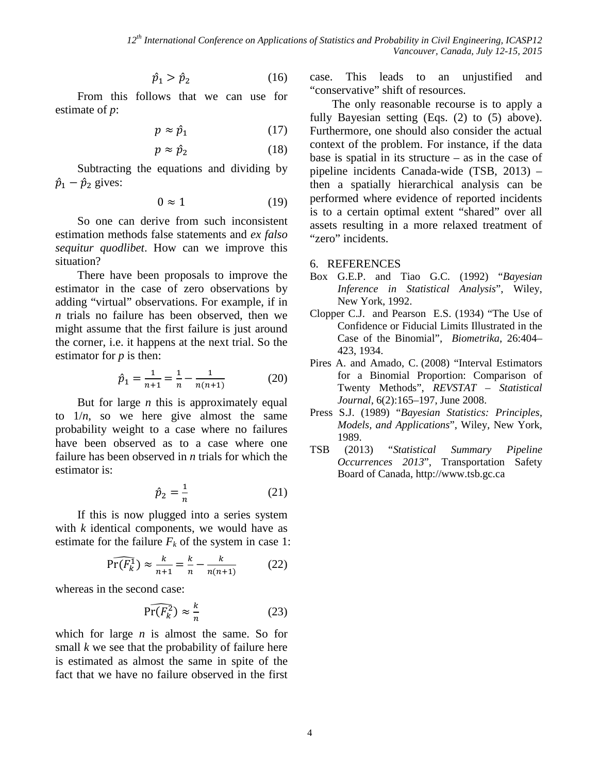$$
\hat{p}_1 > \hat{p}_2 \tag{16}
$$

From this follows that we can use for estimate of *p*:

$$
p \approx \hat{p}_1 \tag{17}
$$

$$
p \approx \hat{p}_2 \tag{18}
$$

Subtracting the equations and dividing by  $\hat{p}_1 - \hat{p}_2$  gives:

$$
0 \approx 1 \tag{19}
$$

So one can derive from such inconsistent estimation methods false statements and *ex falso sequitur quodlibet*. How can we improve this situation?

There have been proposals to improve the estimator in the case of zero observations by adding "virtual" observations. For example, if in *n* trials no failure has been observed, then we might assume that the first failure is just around the corner, i.e. it happens at the next trial. So the estimator for *p* is then:

$$
\hat{p}_1 = \frac{1}{n+1} = \frac{1}{n} - \frac{1}{n(n+1)}\tag{20}
$$

But for large *n* this is approximately equal to  $1/n$ , so we here give almost the same probability weight to a case where no failures have been observed as to a case where one failure has been observed in *n* trials for which the estimator is:

$$
\hat{p}_2 = \frac{1}{n} \tag{21}
$$

If this is now plugged into a series system with *k* identical components, we would have as estimate for the failure  $F_k$  of the system in case 1:

$$
\widehat{\Pr(F_k^1)} \approx \frac{k}{n+1} = \frac{k}{n} - \frac{k}{n(n+1)}
$$
(22)

whereas in the second case:

$$
\widehat{\Pr(F_k^2)} \approx \frac{k}{n} \tag{23}
$$

which for large *n* is almost the same. So for small *k* we see that the probability of failure here is estimated as almost the same in spite of the fact that we have no failure observed in the first case. This leads to an unjustified and "conservative" shift of resources.

The only reasonable recourse is to apply a fully Bayesian setting (Eqs. [\(2\)](#page-1-0) to [\(5\)](#page-2-0) above). Furthermore, one should also consider the actual context of the problem. For instance, if the data base is spatial in its structure – as in the case of pipeline incidents Canada-wide (TSB, 2013) – then a spatially hierarchical analysis can be performed where evidence of reported incidents is to a certain optimal extent "shared" over all assets resulting in a more relaxed treatment of "zero" incidents.

### 6. REFERENCES

- Box G.E.P. and Tiao G.C. (1992) "*Bayesian Inference in Statistical Analysis*", Wiley, New York, 1992.
- Clopper C.J. and Pearson E.S. (1934) "The Use of Confidence or Fiducial Limits Illustrated in the Case of the Binomial", *Biometrika*, 26:404– 423, 1934.
- Pires A. and Amado, C. (2008) "Interval Estimators for a Binomial Proportion: Comparison of Twenty Methods", *REVSTAT – Statistical Journal*, 6(2):165–197, June 2008.
- Press S.J. (1989) "*Bayesian Statistics: Principles, Models, and Applications*", Wiley, New York, 1989.
- TSB (2013) "*Statistical Summary Pipeline Occurrences 2013*", Transportation Safety Board of Canada, http://www.tsb.gc.ca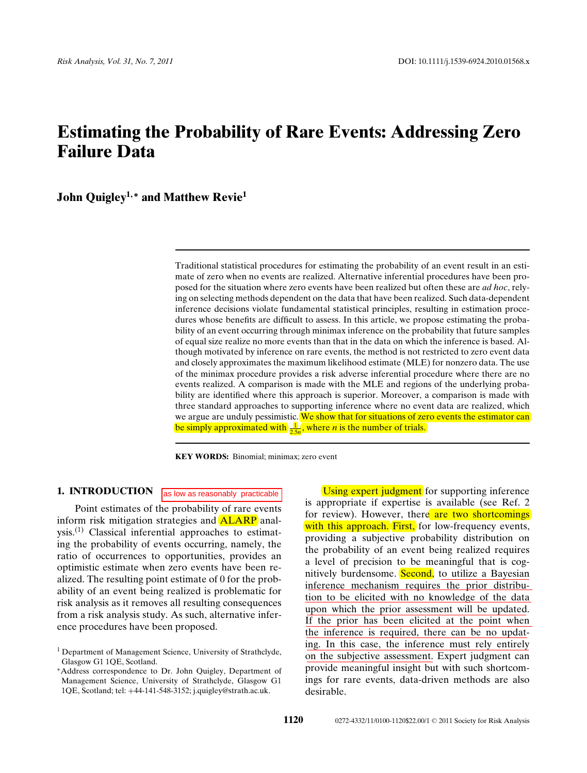# **Estimating the Probability of Rare Events: Addressing Zero Failure Data**

**John Quigley1***,***<sup>∗</sup> and Matthew Revie<sup>1</sup>**

Traditional statistical procedures for estimating the probability of an event result in an estimate of zero when no events are realized. Alternative inferential procedures have been proposed for the situation where zero events have been realized but often these are *ad hoc*, relying on selecting methods dependent on the data that have been realized. Such data-dependent inference decisions violate fundamental statistical principles, resulting in estimation procedures whose benefits are difficult to assess. In this article, we propose estimating the probability of an event occurring through minimax inference on the probability that future samples of equal size realize no more events than that in the data on which the inference is based. Although motivated by inference on rare events, the method is not restricted to zero event data and closely approximates the maximum likelihood estimate (MLE) for nonzero data. The use of the minimax procedure provides a risk adverse inferential procedure where there are no events realized. A comparison is made with the MLE and regions of the underlying probability are identified where this approach is superior. Moreover, a comparison is made with three standard approaches to supporting inference where no event data are realized, which we argue are unduly pessimistic. We show that for situations of zero events the estimator can be simply approximated with  $\frac{1}{2.5n}$ , where *n* is the number of trials.

**KEY WORDS:** Binomial; minimax; zero event

**1. INTRODUCTION**

as low as reasonably practicable

Point estimates of the probability of rare events inform risk mitigation strategies and ALARP anal $vsis$ .<sup>(1)</sup> Classical inferential approaches to estimating the probability of events occurring, namely, the ratio of occurrences to opportunities, provides an optimistic estimate when zero events have been realized. The resulting point estimate of 0 for the probability of an event being realized is problematic for risk analysis as it removes all resulting consequences from a risk analysis study. As such, alternative inference procedures have been proposed.

Using expert judgment for supporting inference is appropriate if expertise is available (see Ref. 2 for review). However, there are two shortcomings with this approach. First, for low-frequency events, providing a subjective probability distribution on the probability of an event being realized requires a level of precision to be meaningful that is cognitively burdensome. Second, to utilize a Bayesian inference mechanism requires the prior distribution to be elicited with no knowledge of the data upon which the prior assessment will be updated. If the prior has been elicited at the point when the inference is required, there can be no updating. In this case, the inference must rely entirely on the subjective assessment. Expert judgment can provide meaningful insight but with such shortcomings for rare events, data-driven methods are also desirable.

<sup>&</sup>lt;sup>1</sup> Department of Management Science, University of Strathclyde, Glasgow G1 1QE, Scotland.

<sup>∗</sup>Address correspondence to Dr. John Quigley, Department of Management Science, University of Strathclyde, Glasgow G1 1QE, Scotland; tel: +44-141-548-3152; j.quigley@strath.ac.uk.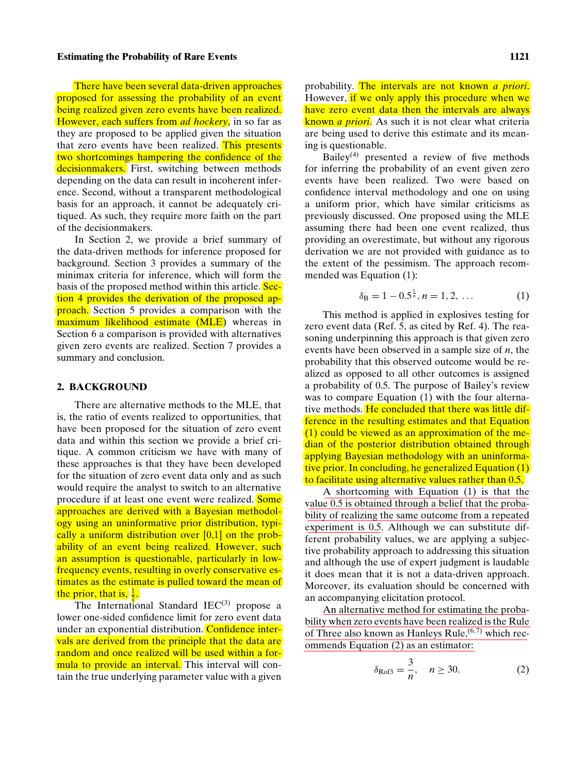There have been several data-driven approaches proposed for assessing the probability of an event being realized given zero events have been realized. However, each suffers from *ad hockery*, in so far as they are proposed to be applied given the situation that zero events have been realized. This presents two shortcomings hampering the confidence of the decisionmakers. First, switching between methods depending on the data can result in incoherent inference. Second, without a transparent methodological basis for an approach, it cannot be adequately critiqued. As such, they require more faith on the part of the decisionmakers.

In Section 2, we provide a brief summary of the data-driven methods for inference proposed for background. Section 3 provides a summary of the minimax criteria for inference, which will form the basis of the proposed method within this article. Section 4 provides the derivation of the proposed approach. Section 5 provides a comparison with the maximum likelihood estimate (MLE) whereas in Section 6 a comparison is provided with alternatives given zero events are realized. Section 7 provides a summary and conclusion.

#### **2. BACKGROUND**

There are alternative methods to the MLE, that is, the ratio of events realized to opportunities, that have been proposed for the situation of zero event data and within this section we provide a brief critique. A common criticism we have with many of these approaches is that they have been developed for the situation of zero event data only and as such would require the analyst to switch to an alternative procedure if at least one event were realized. Some approaches are derived with a Bayesian methodology using an uninformative prior distribution, typically a uniform distribution over [0,1] on the probability of an event being realized. However, such an assumption is questionable, particularly in lowfrequency events, resulting in overly conservative estimates as the estimate is pulled toward the mean of the prior, that is,  $\frac{1}{2}$ .

The International Standard  $IEC<sup>(3)</sup>$  propose a lower one-sided confidence limit for zero event data under an exponential distribution. Confidence intervals are derived from the principle that the data are random and once realized will be used within a formula to provide an interval. This interval will contain the true underlying parameter value with a given

probability. The intervals are not known *a priori*. However, if we only apply this procedure when we have zero event data then the intervals are always known *a priori*. As such it is not clear what criteria are being used to derive this estimate and its meaning is questionable.

Bailey<sup>(4)</sup> presented a review of five methods for inferring the probability of an event given zero events have been realized. Two were based on confidence interval methodology and one on using a uniform prior, which have similar criticisms as previously discussed. One proposed using the MLE assuming there had been one event realized, thus providing an overestimate, but without any rigorous derivation we are not provided with guidance as to the extent of the pessimism. The approach recommended was Equation (1):

$$
\delta_{\rm B} = 1 - 0.5^{\frac{1}{n}}, n = 1, 2, \dots \tag{1}
$$

This method is applied in explosives testing for zero event data (Ref. 5, as cited by Ref. 4). The reasoning underpinning this approach is that given zero events have been observed in a sample size of *n*, the probability that this observed outcome would be realized as opposed to all other outcomes is assigned a probability of 0.5. The purpose of Bailey's review was to compare Equation (1) with the four alternative methods. He concluded that there was little difference in the resulting estimates and that Equation (1) could be viewed as an approximation of the median of the posterior distribution obtained through applying Bayesian methodology with an uninformative prior. In concluding, he generalized Equation (1) to facilitate using alternative values rather than 0.5.

A shortcoming with Equation (1) is that the value 0.5 is obtained through a belief that the probability of realizing the same outcome from a repeated experiment is 0.5. Although we can substitute different probability values, we are applying a subjective probability approach to addressing this situation and although the use of expert judgment is laudable it does mean that it is not a data-driven approach. Moreover, its evaluation should be concerned with an accompanying elicitation protocol.

An alternative method for estimating the probability when zero events have been realized is the Rule of Three also known as Hanleys Rule,  $(6,7)$  which recommends Equation (2) as an estimator:

$$
\delta_{\text{Rofs}} = \frac{3}{n}, \quad n \ge 30. \tag{2}
$$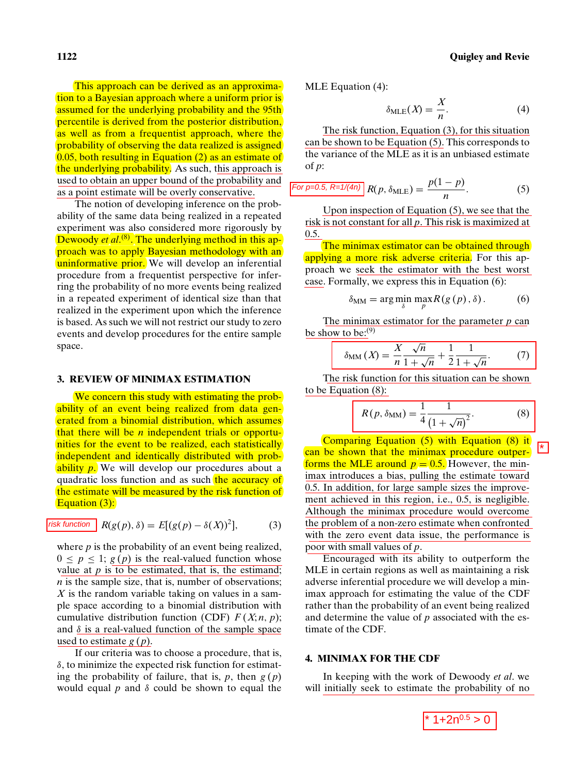This approach can be derived as an approximation to a Bayesian approach where a uniform prior is assumed for the underlying probability and the 95th percentile is derived from the posterior distribution, as well as from a frequentist approach, where the probability of observing the data realized is assigned 0.05, both resulting in Equation (2) as an estimate of the underlying probability. As such, this approach is used to obtain an upper bound of the probability and as a point estimate will be overly conservative.

The notion of developing inference on the probability of the same data being realized in a repeated experiment was also considered more rigorously by Dewoody *et al*. (8). The underlying method in this approach was to apply Bayesian methodology with an uninformative prior. We will develop an inferential procedure from a frequentist perspective for inferring the probability of no more events being realized in a repeated experiment of identical size than that realized in the experiment upon which the inference is based. As such we will not restrict our study to zero events and develop procedures for the entire sample space. as a point estimate will be overly conservative.<br>
The notion of developing finctence on the problem of the problem of Equation (5).<br>
The number of the problem of the same data being realized in a repeated<br>
ability of the

#### **3. REVIEW OF MINIMAX ESTIMATION**

We concern this study with estimating the probability of an event being realized from data generated from a binomial distribution, which assumes that there will be *n* independent trials or opportunities for the event to be realized, each statistically independent and identically distributed with probability *p*. We will develop our procedures about a quadratic loss function and as such the accuracy of the estimate will be measured by the risk function of Equation (3):

$$
\underline{\text{isk function}} R(g(p), \delta) = E[(g(p) - \delta(X))^2], \quad (3)
$$

where  $p$  is the probability of an event being realized,  $0 \le p \le 1$ ;  $g(p)$  is the real-valued function whose value at  $p$  is to be estimated, that is, the estimand; *n* is the sample size, that is, number of observations; *X* is the random variable taking on values in a sample space according to a binomial distribution with cumulative distribution function (CDF)  $F(X; n, p)$ ; and  $\delta$  is a real-valued function of the sample space used to estimate *g* (*p*).

If our criteria was to choose a procedure, that is,  $\delta$ , to minimize the expected risk function for estimating the probability of failure, that is,  $p$ , then  $g(p)$ would equal  $p$  and  $\delta$  could be shown to equal the MLE Equation (4):

$$
\delta_{\text{MLE}}(X) = \frac{X}{n}.\tag{4}
$$

The risk function, Equation (3), for this situation can be shown to be Equation (5). This corresponds to the variance of the MLE as it is an unbiased estimate of *p*:

For 
$$
p=0.5
$$
,  $R=1/(4n)$   $R(p, \delta_{MLE}) = \frac{p(1-p)}{n}$ . (5)

Upon inspection of Equation (5), we see that the risk is not constant for all *p*. This risk is maximized at 0.5.

The minimax estimator can be obtained through applying a more risk adverse criteria. For this approach we seek the estimator with the best worst case. Formally, we express this in Equation (6):

$$
\delta_{\text{MM}} = \arg\min_{\delta} \max_{p} R(g(p), \delta).
$$
 (6)

The minimax estimator for the parameter *p* can be show to be: $(9)$ 

$$
\delta_{\text{MM}}\left(X\right) = \frac{X}{n} \frac{\sqrt{n}}{1 + \sqrt{n}} + \frac{1}{2} \frac{1}{1 + \sqrt{n}}.\tag{7}
$$

The risk function for this situation can be shown to be Equation (8):

$$
R(p, \delta_{\text{MM}}) = \frac{1}{4} \frac{1}{(1 + \sqrt{n})^2}.
$$
 (8)

Comparing Equation (5) with Equation (8) it can be shown that the minimax procedure outperforms the MLE around  $p = 0.5$ . However, the minimax introduces a bias, pulling the estimate toward 0.5. In addition, for large sample sizes the improvement achieved in this region, i.e., 0.5, is negligible. Although the minimax procedure would overcome the problem of a non-zero estimate when confronted with the zero event data issue, the performance is poor with small values of *p*.

Encouraged with its ability to outperform the MLE in certain regions as well as maintaining a risk adverse inferential procedure we will develop a minimax approach for estimating the value of the CDF rather than the probability of an event being realized and determine the value of *p* associated with the estimate of the CDF.

#### **4. MINIMAX FOR THE CDF**

In keeping with the work of Dewoody *et al*. we will initially seek to estimate the probability of no

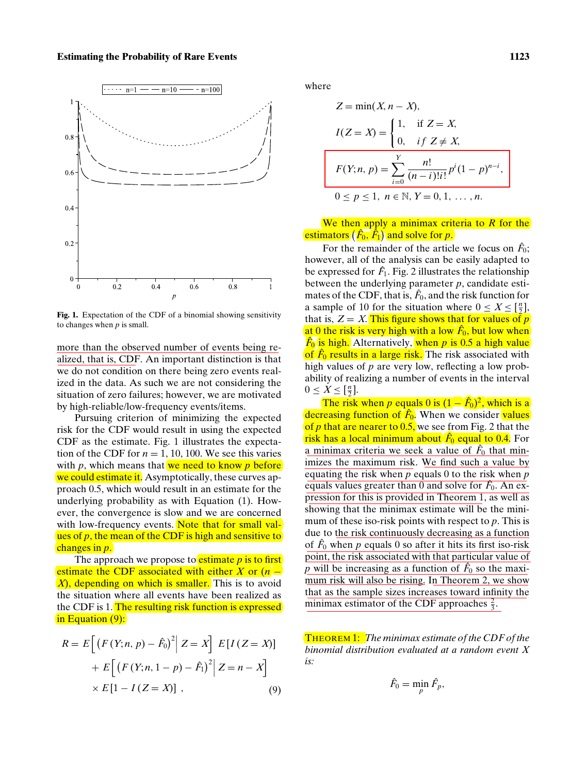

**Fig. 1.** Expectation of the CDF of a binomial showing sensitivity to changes when *p* is small.

more than the observed number of events being realized, that is, CDF. An important distinction is that we do not condition on there being zero events realized in the data. As such we are not considering the situation of zero failures; however, we are motivated by high-reliable/low-frequency events/items.

Pursuing criterion of minimizing the expected risk for the CDF would result in using the expected CDF as the estimate. Fig. 1 illustrates the expectation of the CDF for  $n = 1, 10, 100$ . We see this varies with  $p$ , which means that we need to know  $p$  before we could estimate it. Asymptotically, these curves approach 0.5, which would result in an estimate for the underlying probability as with Equation (1). However, the convergence is slow and we are concerned with low-frequency events. Note that for small values of *p*, the mean of the CDF is high and sensitive to changes in *p*.

The approach we propose to **estimate**  $p$  is to first estimate the CDF associated with either *X* or (*n* − *X*), depending on which is smaller. This is to avoid the situation where all events have been realized as the CDF is 1. The resulting risk function is expressed in Equation (9):

$$
R = E\left[\left(F(Y;n,p) - \hat{F}_0\right)^2 | Z = X\right] E[I(Z = X)]
$$

$$
+ E\left[\left(F(Y;n,1-p) - \hat{F}_1\right)^2 | Z = n - X\right]
$$

$$
\times E[1 - I(Z = X)] , \qquad (9)
$$

where

$$
Z = \min(X, n - X),
$$
  
\n
$$
I(Z = X) = \begin{cases} 1, & \text{if } Z = X, \\ 0, & \text{if } Z \neq X, \end{cases}
$$
  
\n
$$
F(Y; n, p) = \sum_{i=0}^{Y} \frac{n!}{(n-i)!i!} p^{i} (1-p)^{n-i},
$$
  
\n
$$
0 \leq p \leq 1, n \in \mathbb{N}, Y = 0, 1, ..., n.
$$

We then apply a minimax criteria to *R* for the estimators  $(\hat{F}_0, \hat{F}_1)$  and solve for *p*.

For the remainder of the article we focus on  $\hat{F}_0$ ; however, all of the analysis can be easily adapted to be expressed for  $\hat{F}_1$ . Fig. 2 illustrates the relationship between the underlying parameter *p*, candidate estimates of the CDF, that is,  $\hat{F}_0$ , and the risk function for a sample of 10 for the situation where  $0 \le X \le \left[\frac{n}{2}\right]$ , that is,  $Z = X$ . This figure shows that for values of  $p$ at 0 the risk is very high with a low  $\hat{F}_{0}$ , but low when *F*ˆ <sup>0</sup> is high. Alternatively, when *p* is 0.5 a high value of  $\hat{F}_0$  results in a large risk. The risk associated with high values of *p* are very low, reflecting a low probability of realizing a number of events in the interval  $0 \leq X \leq \left[\frac{n}{2}\right].$ 

The risk when *p* equals 0 is  $(1 - \hat{F}_0)^2$ , which is a decreasing function of  $\hat{F}_0$ . When we consider values of *p* that are nearer to 0.5, we see from Fig. 2 that the risk has a local minimum about *F*ˆ <sup>0</sup> equal to 0.4. For a minimax criteria we seek a value of  $\hat{F}_0$  that minimizes the maximum risk. We find such a value by equating the risk when *p* equals 0 to the risk when *p* equals values greater than  $\overline{0}$  and solve for  $\hat{F}_0$ . An expression for this is provided in Theorem 1, as well as showing that the minimax estimate will be the minimum of these iso-risk points with respect to *p*. This is due to the risk continuously decreasing as a function of  $\hat{F}_0$  when  $p$  equals 0 so after it hits its first iso-risk point, the risk associated with that particular value of  $p$  will be increasing as a function of  $\hat{F}_0$  so the maximum risk will also be rising. In Theorem 2, we show that as the sample sizes increases toward infinity the minimax estimator of the CDF approaches  $\frac{2}{3}$ .

THEOREM 1: *The minimax estimate of the CDF of the binomial distribution evaluated at a random event X is:*

$$
\hat{F}_0=\min_p \hat{F}_p,
$$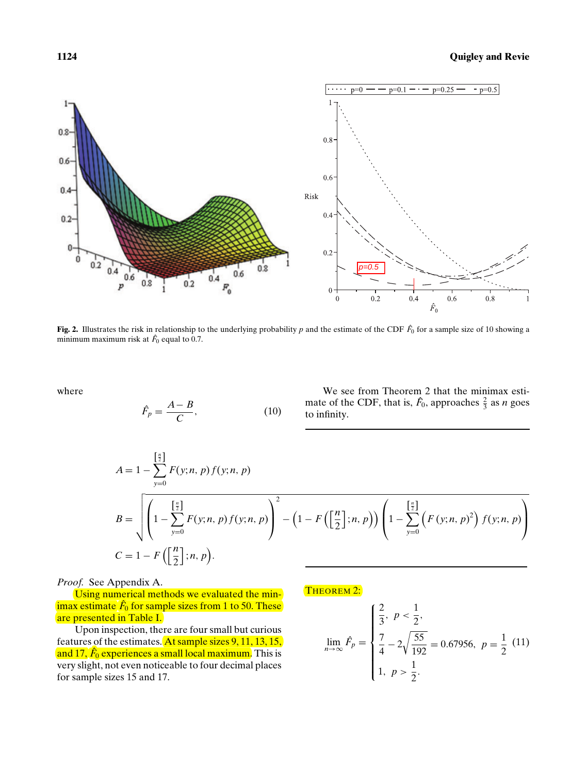

Fig. 2. Illustrates the risk in relationship to the underlying probability  $p$  and the estimate of the CDF  $\hat{F}_0$  for a sample size of 10 showing a minimum maximum risk at  $\hat{F}_0$  equal to 0.7.

where

$$
\hat{F}_p = \frac{A - B}{C},\tag{10}
$$

We see from Theorem 2 that the minimax estimate of the CDF, that is,  $\hat{F}_0$ , approaches  $\frac{2}{3}$  as *n* goes to infinity.

$$
A = 1 - \sum_{y=0}^{\left[\frac{n}{2}\right]} F(y;n,p) f(y;n,p)
$$
  
\n
$$
B = \sqrt{\left(1 - \sum_{y=0}^{\left[\frac{n}{2}\right]} F(y;n,p) f(y;n,p)\right)^2 - \left(1 - F\left(\left[\frac{n}{2}\right];n,p\right)\right) \left(1 - \sum_{y=0}^{\left[\frac{n}{2}\right]} \left(F(y;n,p)^2\right) f(y;n,p)\right)}
$$
  
\n
$$
C = 1 - F\left(\left[\frac{n}{2}\right];n,p\right).
$$

*Proof.* See Appendix A.

Using numerical methods we evaluated the min- $\operatorname{imax}$  estimate  $\hat F_0$  for sample sizes from 1 to 50. These are presented in Table I.

Upon inspection, there are four small but curious features of the estimates. At sample sizes 9, 11, 13, 15, and 17,  $\hat{F}_{0}$  experiences a small local maximum. This is very slight, not even noticeable to four decimal places for sample sizes 15 and 17.

THEOREM 2:

$$
\lim_{n \to \infty} \hat{F}_p = \begin{cases} \frac{2}{3}, & p < \frac{1}{2}, \\ \frac{7}{4} - 2\sqrt{\frac{55}{192}} = 0.67956, & p = \frac{1}{2} \end{cases} \tag{11}
$$
\n
$$
1, \ p > \frac{1}{2}.
$$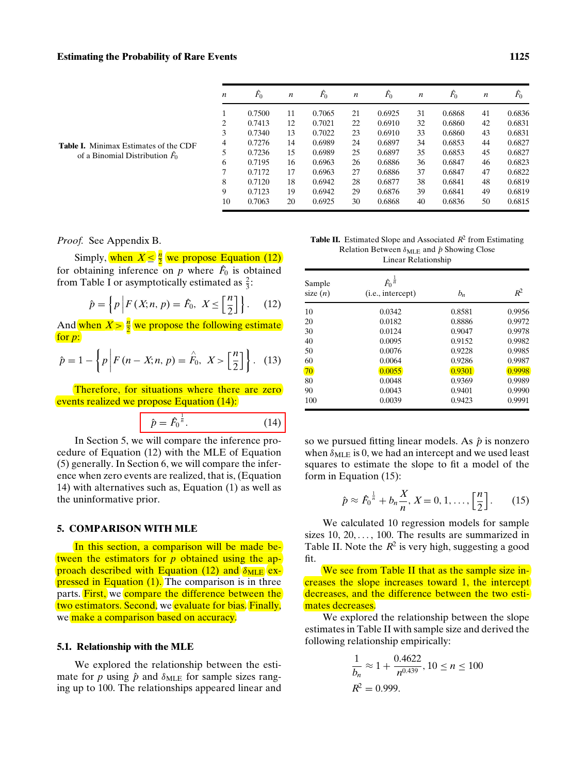| $\boldsymbol{n}$ | $\hat{F}_0$ | n  | $\ddot{F_0}$ | n  | $\ddot{F_0}$ | n  | $\hat{F}_0$ | n  | $\hat{F}_0$ |
|------------------|-------------|----|--------------|----|--------------|----|-------------|----|-------------|
| 1                | 0.7500      | 11 | 0.7065       | 21 | 0.6925       | 31 | 0.6868      | 41 | 0.6836      |
| $\overline{2}$   | 0.7413      | 12 | 0.7021       | 22 | 0.6910       | 32 | 0.6860      | 42 | 0.6831      |
| 3                | 0.7340      | 13 | 0.7022       | 23 | 0.6910       | 33 | 0.6860      | 43 | 0.6831      |
| $\overline{4}$   | 0.7276      | 14 | 0.6989       | 24 | 0.6897       | 34 | 0.6853      | 44 | 0.6827      |
| 5                | 0.7236      | 15 | 0.6989       | 25 | 0.6897       | 35 | 0.6853      | 45 | 0.6827      |
| 6                | 0.7195      | 16 | 0.6963       | 26 | 0.6886       | 36 | 0.6847      | 46 | 0.6823      |
| 7                | 0.7172      | 17 | 0.6963       | 27 | 0.6886       | 37 | 0.6847      | 47 | 0.6822      |
| 8                | 0.7120      | 18 | 0.6942       | 28 | 0.6877       | 38 | 0.6841      | 48 | 0.6819      |
| 9                | 0.7123      | 19 | 0.6942       | 29 | 0.6876       | 39 | 0.6841      | 49 | 0.6819      |
| 10               | 0.7063      | 20 | 0.6925       | 30 | 0.6868       | 40 | 0.6836      | 50 | 0.6815      |

**Table I.** Minimax Estimates of the CDF of a Binomial Distribution *F*ˆ 0

*Proof.* See Appendix B.

Simply, when  $X \leq \frac{n}{2}$  we propose Equation (12) for obtaining inference on  $p$  where  $\hat{F}_0$  is obtained from Table I or asymptotically estimated as  $\frac{2}{3}$ :

$$
\hat{p} = \left\{ p \left| F(X; n, p) = \hat{F}_0, \ X \le \left[ \frac{n}{2} \right] \right. \right\}.
$$
 (12)

And when  $X > \frac{n}{2}$  we propose the following estimate for *p*:

$$
\hat{p} = 1 - \left\{ p \left| F(n - X; n, p) = \hat{F}_0, \ X > \left[ \frac{n}{2} \right] \right\}. \tag{13}
$$

Therefore, for situations where there are zero events realized we propose Equation (14):

$$
\hat{p} = \hat{F}_0^{\frac{1}{n}}.\tag{14}
$$

In Section 5, we will compare the inference procedure of Equation (12) with the MLE of Equation (5) generally. In Section 6, we will compare the inference when zero events are realized, that is, (Equation 14) with alternatives such as, Equation (1) as well as the uninformative prior.

#### **5. COMPARISON WITH MLE**

In this section, a comparison will be made between the estimators for *p* obtained using the approach described with Equation (12) and  $\delta_{\text{MLE}}$  expressed in Equation (1). The comparison is in three parts. First, we compare the difference between the two estimators. Second, we evaluate for bias. Finally, we make a comparison based on accuracy.

#### **5.1. Relationship with the MLE**

We explored the relationship between the estimate for *p* using  $\hat{p}$  and  $\delta_{MLE}$  for sample sizes ranging up to 100. The relationships appeared linear and

**Table II.** Estimated Slope and Associated *R*<sup>2</sup> from Estimating Relation Between  $δ_{MLE}$  and  $p$  Showing Close Linear Relationship

| Sample<br>size $(n)$ | $\hat{F}_0^{\frac{1}{n}}$<br>(i.e., intercept) | $b_n$  | $R^2$  |
|----------------------|------------------------------------------------|--------|--------|
|                      |                                                |        |        |
| 10                   | 0.0342                                         | 0.8581 | 0.9956 |
| 20                   | 0.0182                                         | 0.8886 | 0.9972 |
| 30                   | 0.0124                                         | 0.9047 | 0.9978 |
| 40                   | 0.0095                                         | 0.9152 | 0.9982 |
| 50                   | 0.0076                                         | 0.9228 | 0.9985 |
| 60                   | 0.0064                                         | 0.9286 | 0.9987 |
| 70                   | 0.0055                                         | 0.9301 | 0.9998 |
| 80                   | 0.0048                                         | 0.9369 | 0.9989 |
| 90                   | 0.0043                                         | 0.9401 | 0.9990 |
| 100                  | 0.0039                                         | 0.9423 | 0.9991 |

so we pursued fitting linear models. As  $\hat{p}$  is nonzero when  $\delta_{MLE}$  is 0, we had an intercept and we used least squares to estimate the slope to fit a model of the form in Equation (15):

$$
\hat{p} \approx \hat{F}_0^{\frac{1}{n}} + b_n \frac{X}{n}, X = 0, 1, \dots, \left[\frac{n}{2}\right].
$$
 (15)

We calculated 10 regression models for sample sizes  $10, 20, \ldots, 100$ . The results are summarized in Table II. Note the  $R^2$  is very high, suggesting a good fit.

We see from Table II that as the sample size increases the slope increases toward 1, the intercept decreases, and the difference between the two estimates decreases.

We explored the relationship between the slope estimates in Table II with sample size and derived the following relationship empirically:

$$
\frac{1}{b_n} \approx 1 + \frac{0.4622}{n^{0.439}}, 10 \le n \le 100
$$
  

$$
R^2 = 0.999.
$$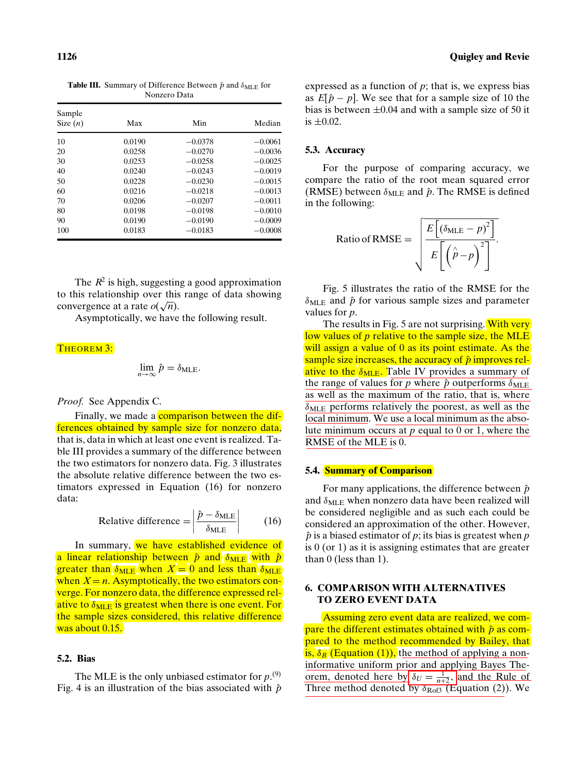**Table III.** Summary of Difference Between  $\hat{p}$  and  $\delta_{MLE}$  for Nonzero Data

| Sample<br>Size $(n)$ | Max    | Min       | Median    |
|----------------------|--------|-----------|-----------|
| 10                   | 0.0190 | $-0.0378$ | $-0.0061$ |
| 20                   | 0.0258 | $-0.0270$ | $-0.0036$ |
| 30                   | 0.0253 | $-0.0258$ | $-0.0025$ |
| 40                   | 0.0240 | $-0.0243$ | $-0.0019$ |
| 50                   | 0.0228 | $-0.0230$ | $-0.0015$ |
| 60                   | 0.0216 | $-0.0218$ | $-0.0013$ |
| 70                   | 0.0206 | $-0.0207$ | $-0.0011$ |
| 80                   | 0.0198 | $-0.0198$ | $-0.0010$ |
| 90                   | 0.0190 | $-0.0190$ | $-0.0009$ |
| 100                  | 0.0183 | $-0.0183$ | $-0.0008$ |

The  $R^2$  is high, suggesting a good approximation to this relationship over this range of data showing convergence at a rate  $o(\sqrt{n})$ .

Asymptotically, we have the following result.

#### THEOREM 3:

$$
\lim_{n\to\infty}\hat{p}=\delta_{\text{MLE}}.
$$

*Proof.* See Appendix C.

Finally, we made a **comparison between the dif**ferences obtained by sample size for nonzero data, that is, data in which at least one event is realized. Table III provides a summary of the difference between the two estimators for nonzero data. Fig. 3 illustrates the absolute relative difference between the two estimators expressed in Equation (16) for nonzero data:

Relative difference 
$$
=\left|\frac{\hat{p} - \delta_{MLE}}{\delta_{MLE}}\right|
$$
 (16)

In summary, we have established evidence of a linear relationship between  $\hat{p}$  and  $\delta_{MLE}$  with  $\hat{p}$ greater than  $\delta_{MLE}$  when  $X = 0$  and less than  $\delta_{MLE}$ when  $X = n$ . Asymptotically, the two estimators converge. For nonzero data, the difference expressed relative to  $\delta_{MLE}$  is greatest when there is one event. For the sample sizes considered, this relative difference was about 0.15.

#### **5.2. Bias**

The MLE is the only unbiased estimator for  $p^{(9)}$ . Fig. 4 is an illustration of the bias associated with  $\hat{p}$  expressed as a function of *p*; that is, we express bias as  $E[\hat{p} - p]$ . We see that for a sample size of 10 the bias is between  $\pm 0.04$  and with a sample size of 50 it is  $\pm 0.02$ .

#### **5.3. Accuracy**

For the purpose of comparing accuracy, we compare the ratio of the root mean squared error (RMSE) between  $\delta_{MLE}$  and  $\hat{p}$ . The RMSE is defined in the following:

Ratio of RMSE = 
$$
\sqrt{\frac{E[(\delta_{MLE} - p)^{2}]}{E[(\hat{p} - p)]}}.
$$

Fig. 5 illustrates the ratio of the RMSE for the  $\delta_{MLE}$  and  $\hat{p}$  for various sample sizes and parameter values for *p*.

The results in Fig. 5 are not surprising. With very low values of *p* relative to the sample size, the MLE will assign a value of 0 as its point estimate. As the sample size increases, the accuracy of  $\hat{p}$  improves relative to the  $\delta_{MLE}$ . Table IV provides a summary of the range of values for  $p$  where  $\hat{p}$  outperforms  $\delta_{MLE}$ as well as the maximum of the ratio, that is, where  $\delta_{\text{MLE}}$  performs relatively the poorest, as well as the local minimum. We use a local minimum as the absolute minimum occurs at *p* equal to 0 or 1, where the RMSE of the MLE is 0.

#### **5.4. Summary of Comparison**

For many applications, the difference between  $\hat{p}$ and  $\delta_{MLE}$  when nonzero data have been realized will be considered negligible and as such each could be considered an approximation of the other. However,  $\hat{p}$  is a biased estimator of  $p$ ; its bias is greatest when  $p$ is 0 (or 1) as it is assigning estimates that are greater than 0 (less than 1).

#### **6. COMPARISON WITH ALTERNATIVES TO ZERO EVENT DATA**

Assuming zero event data are realized, we compare the different estimates obtained with  $\hat{p}$  as compared to the method recommended by Bailey, that is,  $\delta_B$  (Equation (1)), the method of applying a noninformative uniform prior and applying Bayes Theorem, denoted here by  $\delta_U = \frac{1}{n+2}$ , and the Rule of Three method denoted by  $\delta_{\text{Rofs}}$  (Equation (2)). We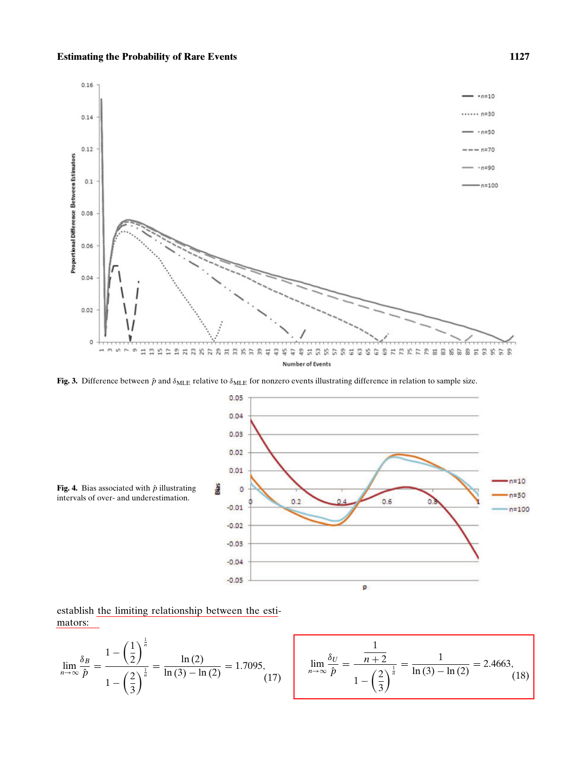

Fig. 3. Difference between  $\hat{p}$  and  $\delta_{MLE}$  relative to  $\delta_{MLE}$  for nonzero events illustrating difference in relation to sample size.





establish the limiting relationship between the estimators:

$$
\lim_{n \to \infty} \frac{\delta_B}{\hat{p}} = \frac{1 - \left(\frac{1}{2}\right)^{\frac{1}{n}}}{1 - \left(\frac{2}{3}\right)^{\frac{1}{n}}} = \frac{\ln(2)}{\ln(3) - \ln(2)} = 1.7095,
$$
\n
$$
\lim_{n \to \infty} \frac{\delta_U}{\hat{p}} = \frac{\frac{1}{n+2}}{1 - \left(\frac{2}{3}\right)^{\frac{1}{n}}} = \frac{1}{\ln(3) - \ln(2)} = 2.4663,
$$
\n(18)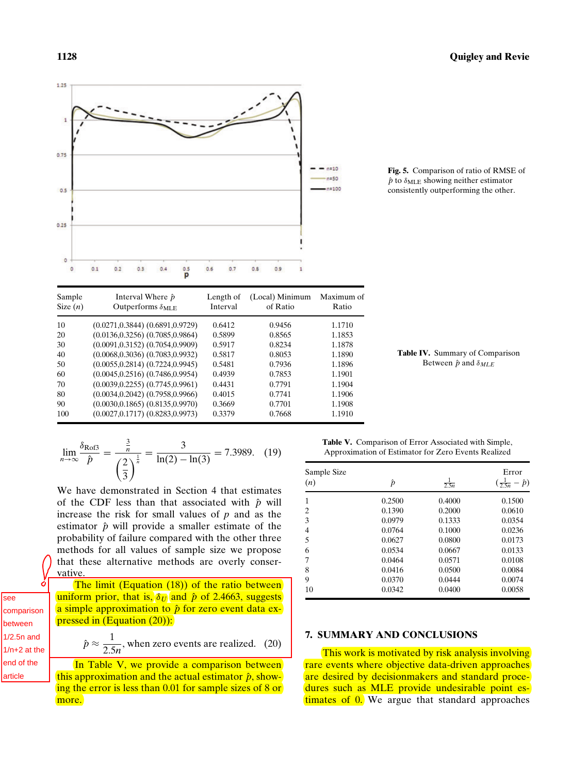1.25

 $0.75$ 

 $0.5$ 

 $0.25$ 

٥

 $0.1$ 

 $0.2$ 

 $0.3$ 

 $0.4$ 

 $0.5$ p



 $-$  n=10  $-n=50$  $n = 100$ 



 $0.6$ 

 $0.7$ 

 $0.8$ 

 $0.9$ 

**Table IV.** Summary of Comparison Between  $\hat{p}$  and  $\delta_{MLE}$ 

$$
\lim_{n \to \infty} \frac{\delta_{\text{Rofs}}}{\hat{p}} = \frac{\frac{3}{n}}{\left(\frac{2}{3}\right)^{\frac{1}{n}}} = \frac{3}{\ln(2) - \ln(3)} = 7.3989. \quad (19)
$$

We have demonstrated in Section 4 that estimates of the CDF less than that associated with  $\hat{p}$  will increase the risk for small values of *p* and as the estimator  $\hat{p}$  will provide a smaller estimate of the probability of failure compared with the other three methods for all values of sample size we propose that these alternative methods are overly conservative.

The limit (Equation (18)) of the ratio between uniform prior, that is,  $\delta_U$  and  $\hat{p}$  of 2.4663, suggests a simple approximation to  $\hat{p}$  for zero event data expressed in (Equation (20)):

$$
\hat{p} \approx \frac{1}{2.5n}
$$
, when zero events are realized. (20)

In Table V, we provide a comparison between this approximation and the actual estimator  $\hat{p}$ , showing the error is less than 0.01 for sample sizes of 8 or more.

**Table V.** Comparison of Error Associated with Simple, Approximation of Estimator for Zero Events Realized

| Sample Size<br>(n) | $\hat{p}$ | $\frac{1}{2.5n}$ | Error<br>$(\frac{1}{2.5n} - \hat{p})$ |
|--------------------|-----------|------------------|---------------------------------------|
| 1                  | 0.2500    | 0.4000           | 0.1500                                |
| $\overline{c}$     | 0.1390    | 0.2000           | 0.0610                                |
| 3                  | 0.0979    | 0.1333           | 0.0354                                |
| 4                  | 0.0764    | 0.1000           | 0.0236                                |
| 5                  | 0.0627    | 0.0800           | 0.0173                                |
| 6                  | 0.0534    | 0.0667           | 0.0133                                |
| 7                  | 0.0464    | 0.0571           | 0.0108                                |
| 8                  | 0.0416    | 0.0500           | 0.0084                                |
| 9                  | 0.0370    | 0.0444           | 0.0074                                |
| 10                 | 0.0342    | 0.0400           | 0.0058                                |

#### **7. SUMMARY AND CONCLUSIONS**

This work is motivated by risk analysis involving rare events where objective data-driven approaches are desired by decisionmakers and standard procedures such as MLE provide undesirable point estimates of 0. We argue that standard approaches

à see comparison between 1/2.5n and 1/n+2 at the lend of the article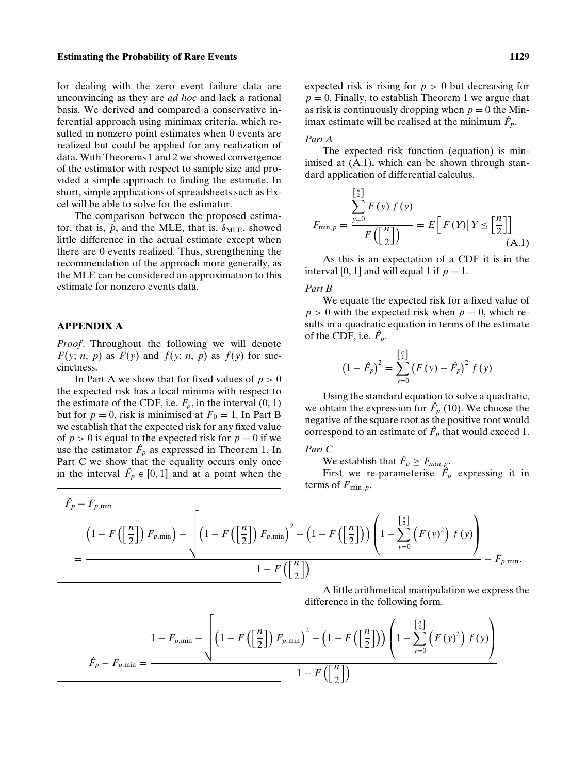#### **Estimating the Probability of Rare Events** 1129

for dealing with the zero event failure data are unconvincing as they are *ad hoc* and lack a rational basis. We derived and compared a conservative inferential approach using minimax criteria, which resulted in nonzero point estimates when 0 events are realized but could be applied for any realization of data. With Theorems 1 and 2 we showed convergence of the estimator with respect to sample size and provided a simple approach to finding the estimate. In short, simple applications of spreadsheets such as Excel will be able to solve for the estimator.

The comparison between the proposed estimator, that is,  $\hat{p}$ , and the MLE, that is,  $\delta_{MLE}$ , showed little difference in the actual estimate except when there are 0 events realized. Thus, strengthening the recommendation of the approach more generally, as the MLE can be considered an approximation to this estimate for nonzero events data.

#### **APPENDIX A**

*Proof*. Throughout the following we will denote *F*(*y*; *n*, *p*) as *F*(*y*) and *f*(*y*; *n*, *p*) as *f*(*y*) for succinctness.

In Part A we show that for fixed values of  $p > 0$ the expected risk has a local minima with respect to the estimate of the CDF, i.e.  $F_p$ , in the interval  $(0, 1)$ but for  $p = 0$ , risk is minimised at  $F_0 = 1$ . In Part B we establish that the expected risk for any fixed value of  $p > 0$  is equal to the expected risk for  $p = 0$  if we use the estimator  $\hat{F}_p$  as expressed in Theorem 1. In Part C we show that the equality occurs only once in the interval  $\hat{F}_p \in [0, 1]$  and at a point when the

#### *Part A*

The expected risk function (equation) is minimised at (A.1), which can be shown through standard application of differential calculus.

$$
F_{\min, p} = \frac{\sum_{y=0}^{\left[\frac{n}{2}\right]} F(y) f(y)}{F\left(\left[\frac{n}{2}\right]\right)} = E\left[F(Y) | Y \le \left[\frac{n}{2}\right]\right]
$$
\n(A.1)

As this is an expectation of a CDF it is in the interval [0, 1] and will equal 1 if  $p = 1$ .

#### *Part B*

We equate the expected risk for a fixed value of  $p > 0$  with the expected risk when  $p = 0$ , which results in a quadratic equation in terms of the estimate of the CDF, i.e.  $\hat{F}_p$ .

$$
(1 - \hat{F}_p)^2 = \sum_{y=0}^{\left[\frac{n}{2}\right]} (F(y) - \hat{F}_p)^2 f(y)
$$

Using the standard equation to solve a quadratic, we obtain the expression for  $\hat{F}_p$  (10). We choose the negative of the square root as the positive root would correspond to an estimate of  $\hat{F}_p$  that would exceed 1.

### *Part C*

We establish that  $\hat{F}_p \geq F_{min, p}$ .

First we re-parameterise  $\hat{F}_p$  expressing it in terms of  $F_{\min,p}$ .

$$
\hat{F}_p - F_{p,\min} \n\left(1 - F\left(\left[\frac{n}{2}\right]\right) F_{p,\min}\right) - \sqrt{\left(1 - F\left(\left[\frac{n}{2}\right]\right) F_{p,\min}\right)^2 - \left(1 - F\left(\left[\frac{n}{2}\right]\right)\right) \left(1 - \sum_{y=0}^{\left[\frac{n}{2}\right]} \left(F\left(y\right)^2\right) f\left(y\right)\right)}\n= \frac{1 - F\left(\left[\frac{n}{2}\right]\right)}{1 - F\left(\left[\frac{n}{2}\right]\right)}\n- F_{p,\min}.
$$

A little arithmetical manipulation we express the difference in the following form.

$$
\hat{F}_p - F_{p,\min} = \frac{1 - F_{p,\min} - \sqrt{\left(1 - F\left(\left[\frac{n}{2}\right]\right)F_{p,\min}\right)^2 - \left(1 - F\left(\left[\frac{n}{2}\right]\right)\right)\left(1 - \sum_{y=0}^{\left[\frac{n}{2}\right]}\left(F\left(y\right)^2\right)f\left(y\right)\right)}}{1 - F\left(\left[\frac{n}{2}\right]\right)}
$$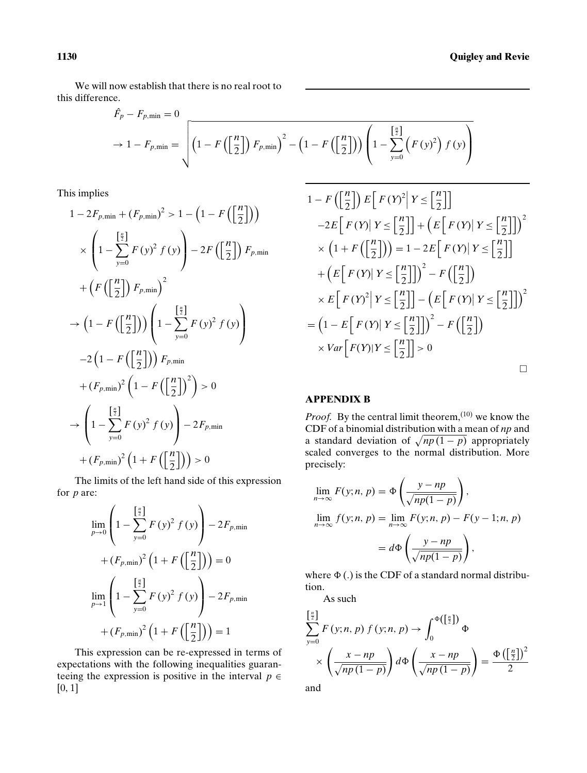We will now establish that there is no real root to this difference.

$$
\hat{F}_p - F_{p,\min} = 0
$$
\n
$$
\rightarrow 1 - F_{p,\min} = \sqrt{\left(1 - F\left(\left[\frac{n}{2}\right]\right)F_{p,\min}\right)^2 - \left(1 - F\left(\left[\frac{n}{2}\right]\right)\right)\left(1 - \sum_{y=0}^{\left[\frac{n}{2}\right]} \left(F\left(y\right)^2\right)f\left(y\right)\right)}
$$

This implies

$$
1 - 2F_{p,\min} + (F_{p,\min})^2 > 1 - \left(1 - F\left(\left[\frac{n}{2}\right]\right)\right)
$$
  
\n
$$
\times \left(1 - \sum_{y=0}^{\left[\frac{n}{2}\right]} F(y)^2 f(y)\right) - 2F\left(\left[\frac{n}{2}\right]\right) F_{p,\min}
$$
  
\n
$$
+ \left(F\left(\left[\frac{n}{2}\right]\right) F_{p,\min}\right)^2
$$
  
\n
$$
\to \left(1 - F\left(\left[\frac{n}{2}\right]\right)\right) \left(1 - \sum_{y=0}^{\left[\frac{n}{2}\right]} F(y)^2 f(y)\right)
$$
  
\n
$$
-2 \left(1 - F\left(\left[\frac{n}{2}\right]\right)\right) F_{p,\min}
$$
  
\n
$$
+ (F_{p,\min})^2 \left(1 - F\left(\left[\frac{n}{2}\right]\right)^2\right) > 0
$$
  
\n
$$
\to \left(1 - \sum_{y=0}^{\left[\frac{n}{2}\right]} F(y)^2 f(y)\right) - 2F_{p,\min}
$$
  
\n
$$
+ (F_{p,\min})^2 \left(1 + F\left(\left[\frac{n}{2}\right]\right)\right) > 0
$$

The limits of the left hand side of this expression for *p* are:

$$
\lim_{p\to 0} \left( 1 - \sum_{y=0}^{\left[\frac{n}{2}\right]} F(y)^2 f(y) \right) - 2F_{p,\min}
$$
  
+ 
$$
\left(F_{p,\min}\right)^2 \left( 1 + F\left(\left[\frac{n}{2}\right]\right) \right) = 0
$$
  

$$
\lim_{p\to 1} \left( 1 - \sum_{y=0}^{\left[\frac{n}{2}\right]} F(y)^2 f(y) \right) - 2F_{p,\min}
$$
  
+ 
$$
\left(F_{p,\min}\right)^2 \left( 1 + F\left(\left[\frac{n}{2}\right]\right) \right) = 1
$$

This expression can be re-expressed in terms of expectations with the following inequalities guaranteeing the expression is positive in the interval  $p \in$ [0, 1]

$$
1 - F\left(\left[\frac{n}{2}\right] \right) E\left[F(Y)^{2} | Y \leq \left[\frac{n}{2}\right]\right]
$$
  
\n
$$
-2E\left[F(Y) | Y \leq \left[\frac{n}{2}\right]\right] + \left(E\left[F(Y) | Y \leq \left[\frac{n}{2}\right]\right]\right)^{2}
$$
  
\n
$$
\times \left(1 + F\left(\left[\frac{n}{2}\right]\right)\right) = 1 - 2E\left[F(Y) | Y \leq \left[\frac{n}{2}\right]\right]
$$
  
\n
$$
+ \left(E\left[F(Y) | Y \leq \left[\frac{n}{2}\right]\right]\right)^{2} - F\left(\left[\frac{n}{2}\right]\right)
$$
  
\n
$$
\times E\left[F(Y)^{2} | Y \leq \left[\frac{n}{2}\right]\right] - \left(E\left[F(Y) | Y \leq \left[\frac{n}{2}\right]\right]\right)^{2}
$$
  
\n
$$
= \left(1 - E\left[F(Y) | Y \leq \left[\frac{n}{2}\right]\right]\right)^{2} - F\left(\left[\frac{n}{2}\right]\right)
$$
  
\n
$$
\times Var\left[F(Y) | Y \leq \left[\frac{n}{2}\right]\right] > 0
$$

#### **APPENDIX B**

*Proof.* By the central limit theorem,<sup>(10)</sup> we know the CDF of a binomial distribution with a mean of *np* and a standard deviation of  $\sqrt{np(1-p)}$  appropriately scaled converges to the normal distribution. More precisely:

$$
\lim_{n \to \infty} F(y; n, p) = \Phi\left(\frac{y - np}{\sqrt{np(1 - p)}}\right),
$$
  

$$
\lim_{n \to \infty} f(y; n, p) = \lim_{n \to \infty} F(y; n, p) - F(y - 1; n, p)
$$
  

$$
= d\Phi\left(\frac{y - np}{\sqrt{np(1 - p)}}\right),
$$

where  $\Phi$  (.) is the CDF of a standard normal distribution.

As such

$$
\sum_{y=0}^{\left[\frac{n}{2}\right]} F(y;n,p) f(y;n,p) \to \int_0^{\Phi\left(\left[\frac{n}{2}\right]\right)} \Phi
$$

$$
\times \left(\frac{x - np}{\sqrt{np(1 - p)}}\right) d\Phi\left(\frac{x - np}{\sqrt{np(1 - p)}}\right) = \frac{\Phi\left(\left[\frac{n}{2}\right]\right)^2}{2}
$$

and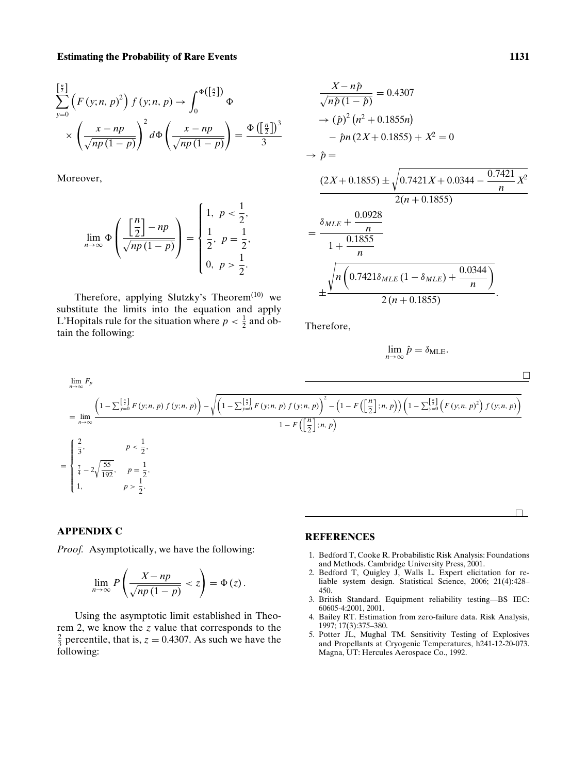#### **Estimating the Probability of Rare Events** 1131

$$
\sum_{y=0}^{\left[\frac{n}{2}\right]} \left(F\left(y;n,p\right)^2\right) f\left(y;n,p\right) \to \int_0^{\Phi\left(\left[\frac{n}{2}\right]\right)} \Phi
$$

$$
\times \left(\frac{x-np}{\sqrt{np\left(1-p\right)}}\right)^2 d\Phi\left(\frac{x-np}{\sqrt{np\left(1-p\right)}}\right) = \frac{\Phi\left(\left[\frac{n}{2}\right]\right)^3}{3}
$$

Moreover,

$$
\lim_{n \to \infty} \Phi\left(\frac{\left[\frac{n}{2}\right] - np}{\sqrt{np(1-p)}}\right) = \begin{cases} 1, & p < \frac{1}{2}, \\ \frac{1}{2}, & p = \frac{1}{2}, \\ 0, & p > \frac{1}{2}. \end{cases}
$$

Therefore, applying Slutzky's Theorem<sup> $(10)$ </sup> we substitute the limits into the equation and apply L'Hopitals rule for the situation where  $p < \frac{1}{2}$  and obtain the following:

$$
\frac{X - n\hat{p}}{\sqrt{n\hat{p}(1 - \hat{p})}} = 0.4307
$$
\n
$$
\rightarrow (\hat{p})^2 (n^2 + 0.1855n)
$$
\n
$$
- \hat{p}n (2X + 0.1855) + X^2 = 0
$$
\n
$$
\rightarrow \hat{p} =
$$
\n
$$
\frac{(2X + 0.1855) \pm \sqrt{0.7421X + 0.0344 - \frac{0.7421}{n}X^2}}{2(n + 0.1855)}
$$
\n
$$
= \frac{\delta_{MLE} + \frac{0.0928}{n}}{1 + \frac{0.1855}{n}}
$$
\n
$$
\pm \frac{\sqrt{n \left(0.7421 \delta_{MLE} (1 - \delta_{MLE}) + \frac{0.0344}{n}\right)}}{2(n + 0.1855)}.
$$

Therefore,

$$
\lim_{n\to\infty}\hat{p}=\delta_{\text{MLE}}.
$$

$$
\lim_{n \to \infty} F_p
$$
\n
$$
= \lim_{n \to \infty} \frac{\left(1 - \sum_{y=0}^{\left[\frac{n}{2}\right]} F(y; n, p) f(y; n, p)\right) - \sqrt{\left(1 - \sum_{y=0}^{\left[\frac{n}{2}\right]} F(y; n, p) f(y; n, p)\right)^2 - \left(1 - F\left(\left[\frac{n}{2}\right]; n, p\right)\right) \left(1 - \sum_{y=0}^{\left[\frac{n}{2}\right]} \left(F(y; n, p)^2\right) f(y; n, p)\right)}}{1 - F\left(\left[\frac{n}{2}\right]; n, p\right)}
$$
\n
$$
= \begin{cases}\n\frac{2}{3}, & p < \frac{1}{2}, \\
\frac{7}{4} - 2\sqrt{\frac{55}{192}}, & p = \frac{1}{2}, \\
1, & p > \frac{1}{2}.\n\end{cases}
$$

#### **APPENDIX C**

*Proof.* Asymptotically, we have the following:

$$
\lim_{n\to\infty} P\left(\frac{X-np}{\sqrt{np(1-p)}} < z\right) = \Phi(z).
$$

Using the asymptotic limit established in Theorem 2, we know the *z* value that corresponds to the  $\frac{2}{3}$  percentile, that is,  $z = 0.4307$ . As such we have the following:

#### **REFERENCES**

- 1. Bedford T, Cooke R. Probabilistic Risk Analysis: Foundations and Methods. Cambridge University Press, 2001.
- 2. Bedford T, Quigley J, Walls L. Expert elicitation for reliable system design. Statistical Science, 2006; 21(4):428– 450.
- 3. British Standard. Equipment reliability testing—BS IEC: 60605-4:2001, 2001.
- 4. Bailey RT. Estimation from zero-failure data. Risk Analysis, 1997; 17(3):375–380.
- 5. Potter JL, Mughal TM. Sensitivity Testing of Explosives and Propellants at Cryogenic Temperatures, h241-12-20-073. Magna, UT: Hercules Aerospace Co., 1992.

 $\Box$